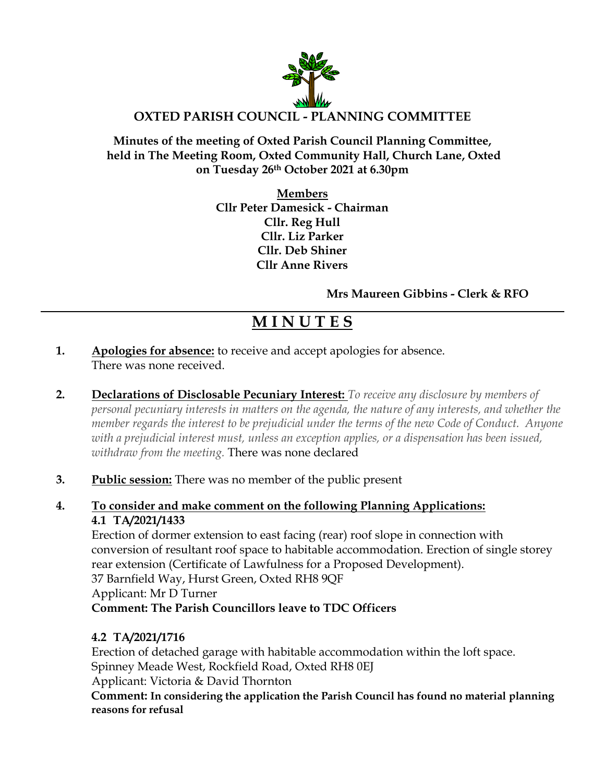

#### **Minutes of the meeting of Oxted Parish Council Planning Committee, held in The Meeting Room, Oxted Community Hall, Church Lane, Oxted on Tuesday 26th October 2021 at 6.30pm**

**Members Cllr Peter Damesick - Chairman Cllr. Reg Hull Cllr. Liz Parker Cllr. Deb Shiner Cllr Anne Rivers**

**Mrs Maureen Gibbins - Clerk & RFO**

# **M I N U T E S**

- **1. Apologies for absence:** to receive and accept apologies for absence. There was none received.
- **2. Declarations of Disclosable Pecuniary Interest:** *To receive any disclosure by members of personal pecuniary interests in matters on the agenda, the nature of any interests, and whether the member regards the interest to be prejudicial under the terms of the new Code of Conduct. Anyone with a prejudicial interest must, unless an exception applies, or a dispensation has been issued, withdraw from the meeting.* There was none declared
- **3. Public session:** There was no member of the public present

#### **4. To consider and make comment on the following Planning Applications: 4.1 TA/2021/1433**

Erection of dormer extension to east facing (rear) roof slope in connection with conversion of resultant roof space to habitable accommodation. Erection of single storey rear extension (Certificate of Lawfulness for a Proposed Development). 37 Barnfield Way, Hurst Green, Oxted RH8 9QF Applicant: Mr D Turner **Comment: The Parish Councillors leave to TDC Officers**

# **4.2 TA/2021/1716**

Erection of detached garage with habitable accommodation within the loft space. Spinney Meade West, Rockfield Road, Oxted RH8 0EJ Applicant: Victoria & David Thornton

**Comment: In considering the application the Parish Council has found no material planning reasons for refusal**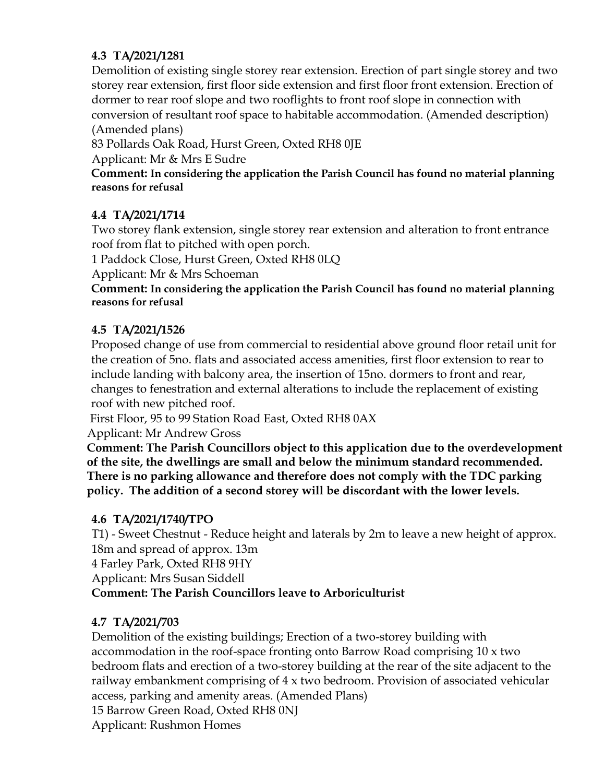#### **4.3 TA/2021/1281**

Demolition of existing single storey rear extension. Erection of part single storey and two storey rear extension, first floor side extension and first floor front extension. Erection of dormer to rear roof slope and two rooflights to front roof slope in connection with conversion of resultant roof space to habitable accommodation. (Amended description) (Amended plans)

83 Pollards Oak Road, Hurst Green, Oxted RH8 0JE

Applicant: Mr & Mrs E Sudre

**Comment: In considering the application the Parish Council has found no material planning reasons for refusal**

#### **4.4 TA/2021/1714**

Two storey flank extension, single storey rear extension and alteration to front entrance roof from flat to pitched with open porch.

1 Paddock Close, Hurst Green, Oxted RH8 0LQ

Applicant: Mr & Mrs Schoeman

**Comment: In considering the application the Parish Council has found no material planning reasons for refusal**

## **4.5 TA/2021/1526**

Proposed change of use from commercial to residential above ground floor retail unit for the creation of 5no. flats and associated access amenities, first floor extension to rear to include landing with balcony area, the insertion of 15no. dormers to front and rear, changes to fenestration and external alterations to include the replacement of existing roof with new pitched roof.

First Floor, 95 to 99 Station Road East, Oxted RH8 0AX

Applicant: Mr Andrew Gross

**Comment: The Parish Councillors object to this application due to the overdevelopment of the site, the dwellings are small and below the minimum standard recommended. There is no parking allowance and therefore does not comply with the TDC parking policy. The addition of a second storey will be discordant with the lower levels.**

#### **4.6 TA/2021/1740/TPO**

T1) - Sweet Chestnut - Reduce height and laterals by 2m to leave a new height of approx. 18m and spread of approx. 13m

4 Farley Park, Oxted RH8 9HY

Applicant: Mrs Susan Siddell

## **Comment: The Parish Councillors leave to Arboriculturist**

## **4.7 TA/2021/703**

Demolition of the existing buildings; Erection of a two-storey building with accommodation in the roof-space fronting onto Barrow Road comprising 10 x two bedroom flats and erection of a two-storey building at the rear of the site adjacent to the railway embankment comprising of 4 x two bedroom. Provision of associated vehicular access, parking and amenity areas. (Amended Plans) 15 Barrow Green Road, Oxted RH8 0NJ

Applicant: Rushmon Homes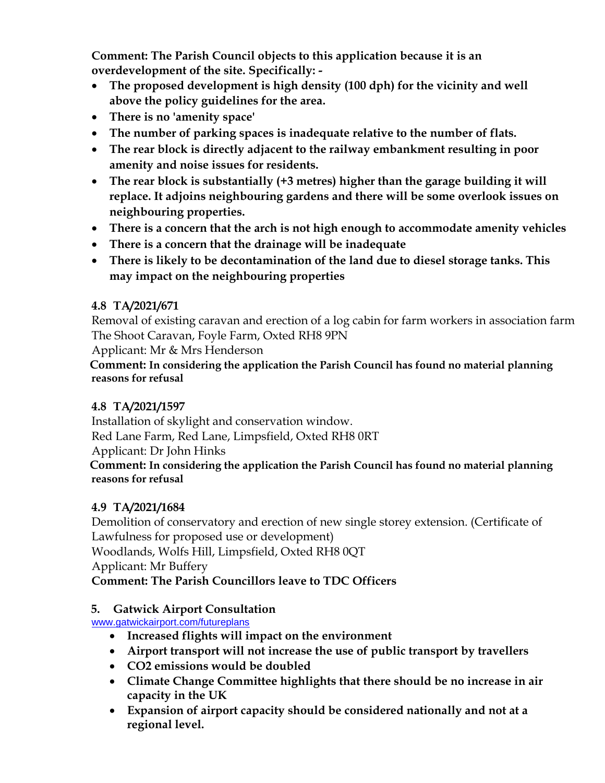**Comment: The Parish Council objects to this application because it is an overdevelopment of the site. Specifically: -**

- **The proposed development is high density (100 dph) for the vicinity and well above the policy guidelines for the area.**
- **There is no 'amenity space'**
- **The number of parking spaces is inadequate relative to the number of flats.**
- **The rear block is directly adjacent to the railway embankment resulting in poor amenity and noise issues for residents.**
- **The rear block is substantially (+3 metres) higher than the garage building it will replace. It adjoins neighbouring gardens and there will be some overlook issues on neighbouring properties.**
- **There is a concern that the arch is not high enough to accommodate amenity vehicles**
- **There is a concern that the drainage will be inadequate**
- **There is likely to be decontamination of the land due to diesel storage tanks. This may impact on the neighbouring properties**

## **4.8 TA/2021/671**

Removal of existing caravan and erection of a log cabin for farm workers in association farm The Shoot Caravan, Foyle Farm, Oxted RH8 9PN

Applicant: Mr & Mrs Henderson

**Comment: In considering the application the Parish Council has found no material planning reasons for refusal**

## **4.8 TA/2021/1597**

Installation of skylight and conservation window. Red Lane Farm, Red Lane, Limpsfield, Oxted RH8 0RT

Applicant: Dr John Hinks

**Comment: In considering the application the Parish Council has found no material planning reasons for refusal**

## **4.9 TA/2021/1684**

Demolition of conservatory and erection of new single storey extension. (Certificate of Lawfulness for proposed use or development)

Woodlands, Wolfs Hill, Limpsfield, Oxted RH8 0QT

Applicant: Mr Buffery

## **Comment: The Parish Councillors leave to TDC Officers**

# **5. Gatwick Airport Consultation**

[www.gatwickairport.com/futureplans](http://www.gatwickairport.com/futureplans)

- **Increased flights will impact on the environment**
- **Airport transport will not increase the use of public transport by travellers**
- **CO2 emissions would be doubled**
- **Climate Change Committee highlights that there should be no increase in air capacity in the UK**
- **Expansion of airport capacity should be considered nationally and not at a regional level.**